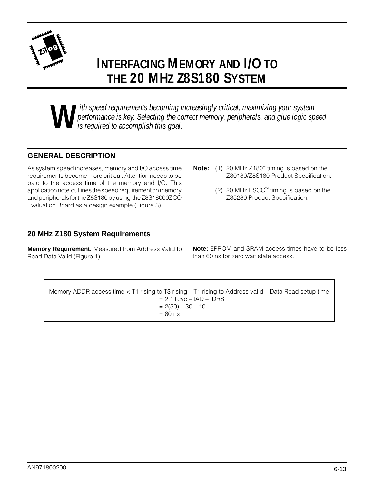

# **INTERFACING MEMORY AND I/O TO THE 20 MHZ Z8S180 SYSTEM**

**W** ith speed requirements becoming increasingly critical, maximizing your system<br>performance is key. Selecting the correct memory, peripherals, and glue logic sp<br>is required to accomplish this goal. *performance is key. Selecting the correct memory, peripherals, and glue logic speed is required to accomplish this goal.*

#### **GENERAL DESCRIPTION**

As system speed increases, memory and I/O access time requirements become more critical. Attention needs to be paid to the access time of the memory and I/O. This application note outlines the speed requirement on memory and peripherals for the Z8S180 by using the Z8S18000ZCO Evaluation Board as a design example (Figure 3).

- **Note:** (1) 20 MHz Z180™ timing is based on the Z80180/Z8S180 Product Specification.
	- (2) 20 MHz ESCC™ timing is based on the Z85230 Product Specification.

#### **20 MHz Z180 System Requirements**

**Memory Requirement.** Measured from Address Valid to Read Data Valid (Figure 1).

**Note:** EPROM and SRAM access times have to be less than 60 ns for zero wait state access.

Memory ADDR access time < T1 rising to T3 rising – T1 rising to Address valid – Data Read setup time  $= 2 * Tcyc - tAD - tDRS$  $= 2(50) - 30 - 10$  $= 60$  ns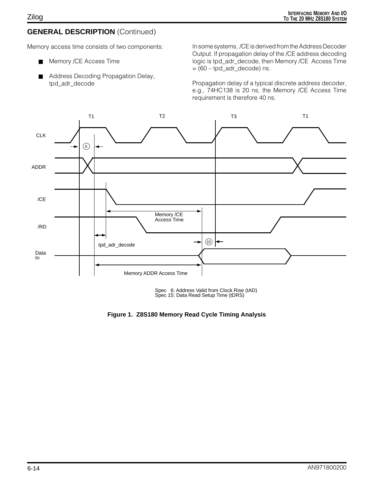## **GENERAL DESCRIPTION** (Continued)

Memory access time consists of two components:

- Memory /CE Access Time
- Address Decoding Propagation Delay, tpd\_adr\_decode

In some systems, /CE is derived from the Address Decoder Output. If propagation delay of the /CE address decoding logic is tpd\_adr\_decode, then Memory /CE Access Time  $= (60 - \text{tpd}_\text{adr}_\text{decode})$  ns.

Propagation delay of a typical discrete address decoder, e.g., 74HC138 is 20 ns, the Memory /CE Access Time requirement is therefore 40 ns.



Spec 6: Address Valid from Clock Rise (tAD) Spec 15: Data Read Setup Time (tDRS)

**Figure 1. Z8S180 Memory Read Cycle Timing Analysis**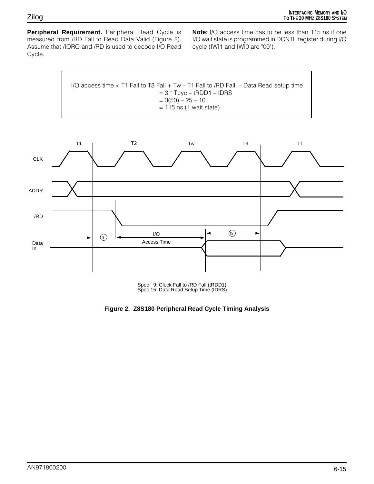**Peripheral Requirement.** Peripheral Read Cycle is measured from /RD Fall to Read Data Valid (Figure 2). Assume that /IORQ and /RD is used to decode I/O Read Cycle.

**Note:** I/O access time has to be less than 115 ns if one I/O wait state is programmed in DCNTL register during I/O cycle (IWI1 and IWI0 are "00").

I/O access time  $<$  T1 Fall to T3 Fall + Tw – T1 Fall to /RD Fall – Data Read setup time  $= 3 * Tcyc - tRDD1 - tDRS$  $= 3(50) - 25 - 10$  $= 115$  ns (1 wait state)



Spec 9: Clock Fall to /RD Fall (tRDD1) Spec 15: Data Read Setup Time (tDRS)

**Figure 2. Z8S180 Peripheral Read Cycle Timing Analysis**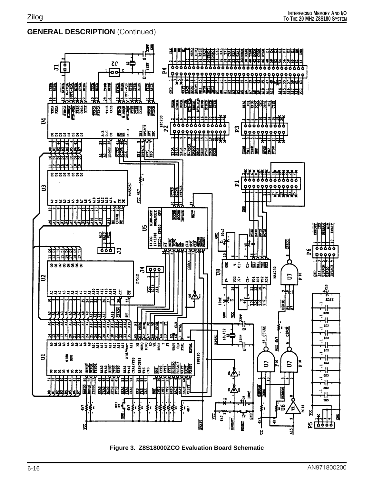### **GENERAL DESCRIPTION** (Continued)



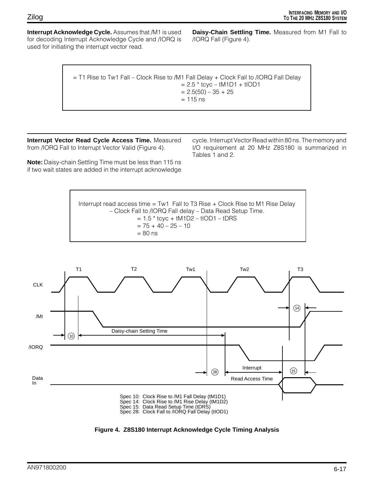**Interrupt Acknowledge Cycle.** Assumes that /M1 is used for decoding Interrupt Acknowledge Cycle and /IORQ is used for initiating the interrupt vector read.

**Daisy-Chain Settling Time.** Measured from M1 Fall to /IORQ Fall (Figure 4).

| $=$ T1 Rise to Tw1 Fall – Clock Rise to /M1 Fall Delay + Clock Fall to /IORQ Fall Delay |
|-----------------------------------------------------------------------------------------|
| $= 2.5 * t$ cyc – tM1D1 + tIOD1                                                         |
| $= 2.5(50) - 35 + 25$                                                                   |
| $= 115$ ns                                                                              |
|                                                                                         |

**Interrupt Vector Read Cycle Access Time.** Measured from /IORQ Fall to Interrupt Vector Valid (Figure 4).

**Note:** Daisy-chain Settling Time must be less than 115 ns if two wait states are added in the interrupt acknowledge

cycle. Interrupt Vector Read within 80 ns. The memory and I/O requirement at 20 MHz Z8S180 is summarized in Tables 1 and 2.





**Figure 4. Z8S180 Interrupt Acknowledge Cycle Timing Analysis**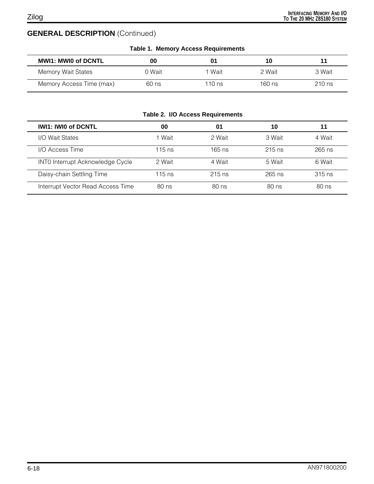# **GENERAL DESCRIPTION** (Continued)

| <b>Table 1. Memory Access Requirements</b> |         |          |        |          |
|--------------------------------------------|---------|----------|--------|----------|
| <b>MWI1: MWI0 of DCNTL</b>                 | 00      | 01       | 10     |          |
| Memory Wait States                         | 0 Wait  | 1 Wait   | 2 Wait | 3 Wait   |
| Memory Access Time (max)                   | $60$ ns | 110 $ns$ | 160 ns | $210$ ns |

|  |  |  | Table 2. I/O Access Requirements |
|--|--|--|----------------------------------|
|--|--|--|----------------------------------|

| <b>IWI1: IWI0 of DCNTL</b>              | 00       | 01       | 10       |          |
|-----------------------------------------|----------|----------|----------|----------|
| I/O Wait States                         | Wait     | 2 Wait   | 3 Wait   | 4 Wait   |
| I/O Access Time                         | $115$ ns | $165$ ns | $215$ ns | $265$ ns |
| <b>INTO Interrupt Acknowledge Cycle</b> | 2 Wait   | 4 Wait   | 5 Wait   | 6 Wait   |
| Daisy-chain Settling Time               | 115 ns   | $215$ ns | $265$ ns | $315$ ns |
| Interrupt Vector Read Access Time       | 80 ns    | 80 ns    | 80 ns    | 80 ns    |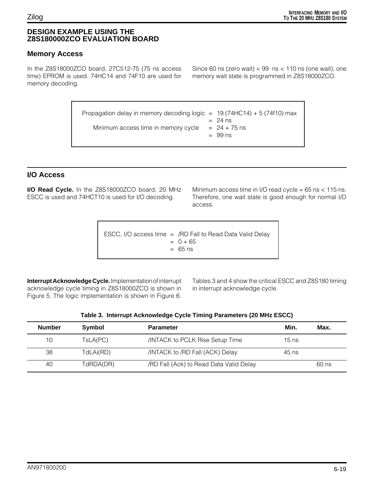#### **DESIGN EXAMPLE USING THE Z8S180000ZCO EVALUATION BOARD**

#### **Memory Access**

In the Z8S18000ZCO board, 27C512-75 (75 ns access time) EPROM is used. 74HC14 and 74F10 are used for memory decoding.

Since 60 ns (zero wait)  $<$  99 ns  $<$  110 ns (one wait), one memory wait state is programmed in Z8S18000ZCO.

Propagation delay in memory decoding logic =  $19(74HC14) + 5(74f10)$  max  $= 24$  ns Minimum access time in memory cycle  $= 24 + 75$  ns  $= 99$  ns

#### **I/O Access**

**I/O Read Cycle.** In the Z8S18000ZCO board, 20 MHz ESCC is used and 74HCT10 is used for I/O decoding.

Minimum access time in I/O read cycle =  $65$  ns <  $115$  ns. Therefore, one wait state is good enough for normal I/O access.

ESCC, I/O access time  $=$  /RD Fall to Read Data Valid Delay  $= 0 + 65$  $= 65$  ns

**Interrupt Acknowledge Cycle.** Implementation of interrupt acknowledge cycle timing in Z8S18000ZCO is shown in Figure 5. The logic implementation is shown in Figure 6.

Tables 3 and 4 show the critical ESCC and Z8S180 timing in interrupt acknowledge cycle.

| Table 3. Interrupt Acknowledge Cycle Timing Parameters (20 MHz ESCC) |           |                                       |       |      |  |  |
|----------------------------------------------------------------------|-----------|---------------------------------------|-------|------|--|--|
| <b>Number</b>                                                        | Symbol    | <b>Parameter</b>                      | Min.  | Max. |  |  |
| 10                                                                   | TsLA(PC)  | <b>INTACK to PCLK Rise Setup Time</b> | 15 ns |      |  |  |
| 38                                                                   | TdLAi(RD) | /INTACK to /RD Fall (ACK) Delay       | 45 ns |      |  |  |

40 TdRDA(DR) /RD Fall (Ack) to Read Data Valid Delay 60 ns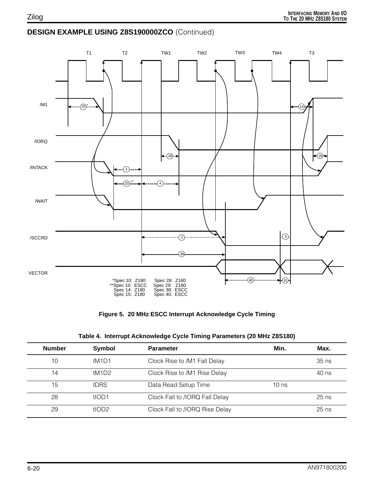# **DESIGN EXAMPLE USING Z8S190000ZCO** (Continued)



**Figure 5. 20 MHz ESCC Interrupt Acknowledge Cycle Timing**

|  |  | Table 4. Interrupt Acknowledge Cycle Timing Parameters (20 MHz Z8S180) |  |  |  |
|--|--|------------------------------------------------------------------------|--|--|--|
|--|--|------------------------------------------------------------------------|--|--|--|

| <b>Number</b> | Symbol            | <b>Parameter</b>               | Min.    | Max.    |
|---------------|-------------------|--------------------------------|---------|---------|
| 10            | tM1D1             | Clock Rise to /M1 Fall Delay   |         | $35$ ns |
| 14            | tM1D2             | Clock Rise to /M1 Rise Delay   |         | 40 ns   |
| 15            | tDRS              | Data Read Setup Time           | $10$ ns |         |
| 28            | tIOD <sub>1</sub> | Clock Fall to /IORQ Fall Delay |         | $25$ ns |
| 29            | tIOD2             | Clock Fall to /IORQ Rise Delay |         | $25$ ns |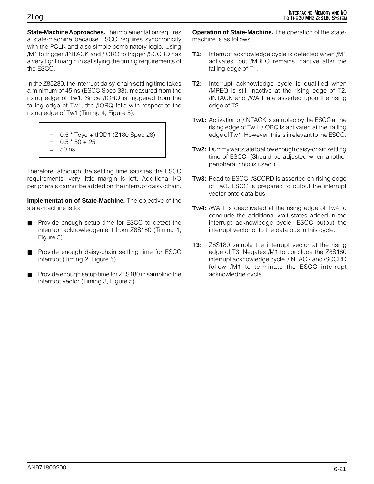**State-Machine Approaches.** The implementation requires a state-machine because ESCC requires synchronicity with the PCLK and also simple combinatory logic. Using /M1 to trigger /INTACK and /IORQ to trigger /SCCRD has a very tight margin in satisfying the timing requirements of the ESCC.

In the Z85230, the interrupt daisy-chain settling time takes a minimum of 45 ns (ESCC Spec 38), measured from the rising edge of Tw1. Since /IORQ is triggered from the falling edge of Tw1, the /IORQ falls with respect to the rising edge of Tw1 (Timing 4, Figure 5).

- 0.5 \* Tcyc + tIOD1 (Z180 Spec 28)  $= 0.5 * 50 + 25$
- = 50 ns
- 

Therefore, although the settling time satisfies the ESCC requirements, very little margin is left. Additional I/O peripherals cannot be added on the interrupt daisy-chain.

**Implementation of State-Machine.** The objective of the state-machine is to:

- Provide enough setup time for ESCC to detect the interrupt acknowledgement from Z8S180 (Timing 1, Figure 5).
- Provide enough daisy-chain settling time for ESCC interrupt (Timing 2, Figure 5).
- Provide enough setup time for Z8S180 in sampling the interrupt vector (Timing 3, Figure 5).

**Operation of State-Machine.** The operation of the statemachine is as follows:

- **T1:** Interrupt acknowledge cycle is detected when /M1 activates, but /MREQ remains inactive after the falling edge of T1.
- **T2:** Interrupt acknowledge cycle is qualified when /MREQ is still inactive at the rising edge of T2. /INTACK and /WAIT are asserted upon the rising edge of T2.
- **Tw1:** Activation of /INTACK is sampled by the ESCC at the rising edge of Tw1. /IORQ is activated at the falling edge of Tw1. However, this is irrelevant to the ESCC.
- **Tw2:** Dummy wait state to allow enough daisy-chain settling time of ESCC. (Should be adjusted when another peripheral chip is used.)
- **Tw3:** Read to ESCC, /SCCRD is asserted on rising edge of Tw3. ESCC is prepared to output the interrupt vector onto data bus.
- **Tw4:** /WAIT is deactivated at the rising edge of Tw4 to conclude the additional wait states added in the interrupt acknowledge cycle. ESCC output the interrupt vector onto the data bus in this cycle.
- **T3:** Z8S180 sample the interrupt vector at the rising edge of T3. Negates /M1 to conclude the Z8S180 interrupt acknowledge cycle. /INTACK and /SCCRD follow /M1 to terminate the ESCC interrupt acknowledge cycle.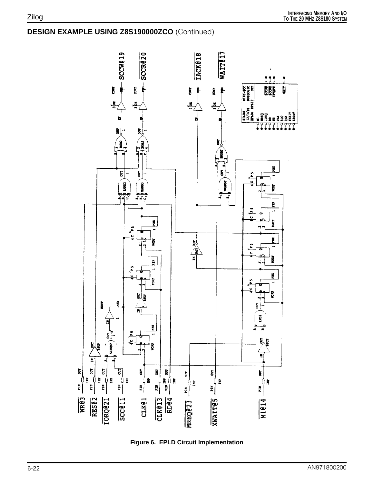# **DESIGN EXAMPLE USING Z8S190000ZCO** (Continued)



**Figure 6. EPLD Circuit Implementation**